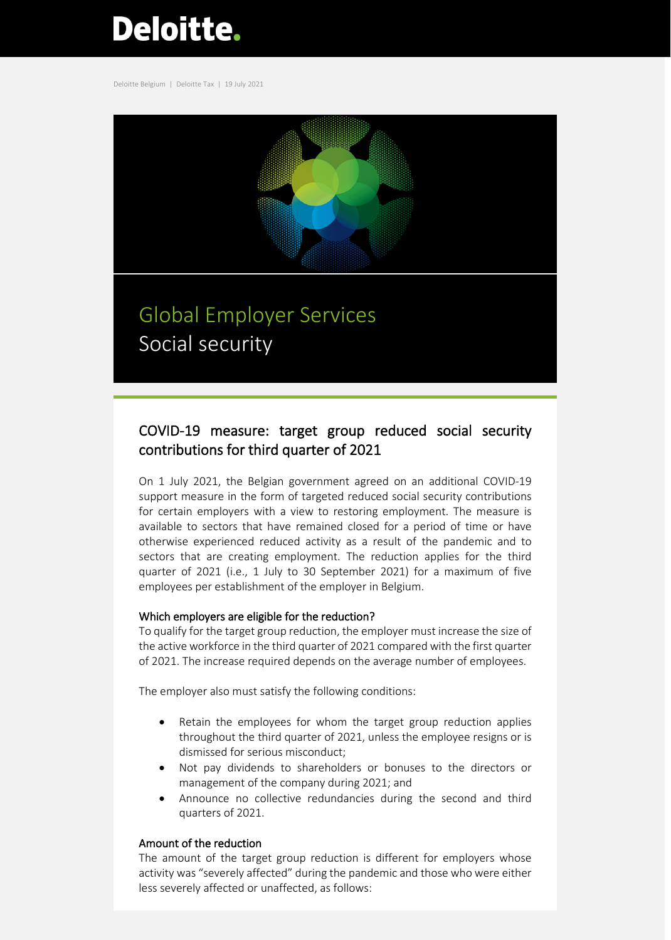# **Deloitte.**

Deloitte Belgium | Deloitte Tax | 19 July 2021



## Global Employer Services Social security

### COVID-19 measure: target group reduced social security contributions for third quarter of 2021

On 1 July 2021, the Belgian government agreed on an additional COVID-19 support measure in the form of targeted reduced social security contributions for certain employers with a view to restoring employment. The measure is available to sectors that have remained closed for a period of time or have otherwise experienced reduced activity as a result of the pandemic and to sectors that are creating employment. The reduction applies for the third quarter of 2021 (i.e., 1 July to 30 September 2021) for a maximum of five employees per establishment of the employer in Belgium.

#### Which employers are eligible for the reduction?

To qualify for the target group reduction, the employer must increase the size of the active workforce in the third quarter of 2021 compared with the first quarter of 2021. The increase required depends on the average number of employees.

The employer also must satisfy the following conditions:

- Retain the employees for whom the target group reduction applies throughout the third quarter of 2021, unless the employee resigns or is dismissed for serious misconduct;
- Not pay dividends to shareholders or bonuses to the directors or management of the company during 2021; and
- Announce no collective redundancies during the second and third quarters of 2021.

#### Amount of the reduction

The amount of the target group reduction is different for employers whose activity was "severely affected" during the pandemic and those who were either less severely affected or unaffected, as follows: